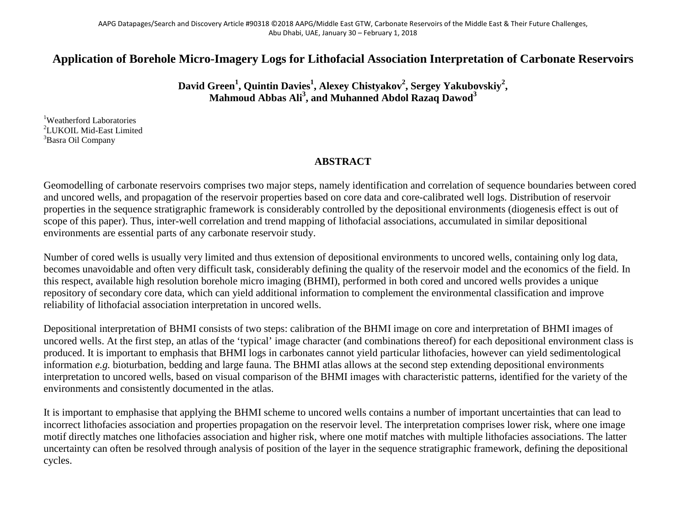## **Application of Borehole Micro-Imagery Logs for Lithofacial Association Interpretation of Carbonate Reservoirs**

**David Green<sup>1</sup> , Quintin Davies<sup>1</sup> , Alexey Chistyakov2 , Sergey Yakubovskiy2 , Mahmoud Abbas Ali<sup>3</sup> , and Muhanned Abdol Razaq Dawod<sup>3</sup>**

<sup>1</sup>Weatherford Laboratories  ${}^{2}$ LUKOIL Mid-East Limited  ${}^{3}$ Pears Oil Company <sup>3</sup>Basra Oil Company

## **ABSTRACT**

Geomodelling of carbonate reservoirs comprises two major steps, namely identification and correlation of sequence boundaries between cored and uncored wells, and propagation of the reservoir properties based on core data and core-calibrated well logs. Distribution of reservoir properties in the sequence stratigraphic framework is considerably controlled by the depositional environments (diogenesis effect is out of scope of this paper). Thus, inter-well correlation and trend mapping of lithofacial associations, accumulated in similar depositional environments are essential parts of any carbonate reservoir study.

Number of cored wells is usually very limited and thus extension of depositional environments to uncored wells, containing only log data, becomes unavoidable and often very difficult task, considerably defining the quality of the reservoir model and the economics of the field. In this respect, available high resolution borehole micro imaging (BHMI), performed in both cored and uncored wells provides a unique repository of secondary core data, which can yield additional information to complement the environmental classification and improve reliability of lithofacial association interpretation in uncored wells.

Depositional interpretation of BHMI consists of two steps: calibration of the BHMI image on core and interpretation of BHMI images of uncored wells. At the first step, an atlas of the 'typical' image character (and combinations thereof) for each depositional environment class is produced. It is important to emphasis that BHMI logs in carbonates cannot yield particular lithofacies, however can yield sedimentological information *e.g.* bioturbation, bedding and large fauna. The BHMI atlas allows at the second step extending depositional environments interpretation to uncored wells, based on visual comparison of the BHMI images with characteristic patterns, identified for the variety of the environments and consistently documented in the atlas.

It is important to emphasise that applying the BHMI scheme to uncored wells contains a number of important uncertainties that can lead to incorrect lithofacies association and properties propagation on the reservoir level. The interpretation comprises lower risk, where one image motif directly matches one lithofacies association and higher risk, where one motif matches with multiple lithofacies associations. The latter uncertainty can often be resolved through analysis of position of the layer in the sequence stratigraphic framework, defining the depositional cycles.